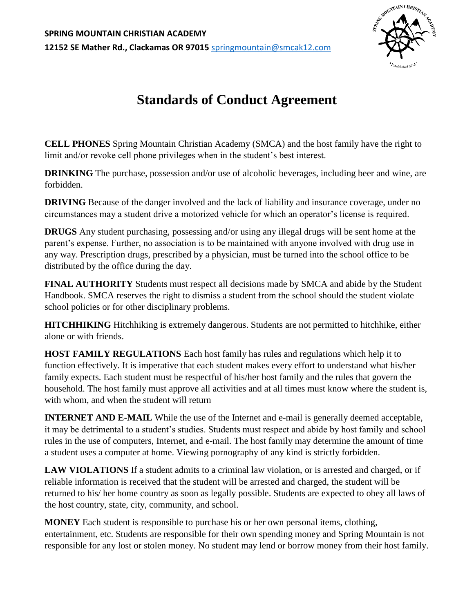

## **Standards of Conduct Agreement**

**CELL PHONES** Spring Mountain Christian Academy (SMCA) and the host family have the right to limit and/or revoke cell phone privileges when in the student's best interest.

**DRINKING** The purchase, possession and/or use of alcoholic beverages, including beer and wine, are forbidden.

**DRIVING** Because of the danger involved and the lack of liability and insurance coverage, under no circumstances may a student drive a motorized vehicle for which an operator's license is required.

**DRUGS** Any student purchasing, possessing and/or using any illegal drugs will be sent home at the parent's expense. Further, no association is to be maintained with anyone involved with drug use in any way. Prescription drugs, prescribed by a physician, must be turned into the school office to be distributed by the office during the day.

**FINAL AUTHORITY** Students must respect all decisions made by SMCA and abide by the Student Handbook. SMCA reserves the right to dismiss a student from the school should the student violate school policies or for other disciplinary problems.

**HITCHHIKING** Hitchhiking is extremely dangerous. Students are not permitted to hitchhike, either alone or with friends.

**HOST FAMILY REGULATIONS** Each host family has rules and regulations which help it to function effectively. It is imperative that each student makes every effort to understand what his/her family expects. Each student must be respectful of his/her host family and the rules that govern the household. The host family must approve all activities and at all times must know where the student is, with whom, and when the student will return

**INTERNET AND E-MAIL** While the use of the Internet and e-mail is generally deemed acceptable, it may be detrimental to a student's studies. Students must respect and abide by host family and school rules in the use of computers, Internet, and e-mail. The host family may determine the amount of time a student uses a computer at home. Viewing pornography of any kind is strictly forbidden.

**LAW VIOLATIONS** If a student admits to a criminal law violation, or is arrested and charged, or if reliable information is received that the student will be arrested and charged, the student will be returned to his/ her home country as soon as legally possible. Students are expected to obey all laws of the host country, state, city, community, and school.

**MONEY** Each student is responsible to purchase his or her own personal items, clothing, entertainment, etc. Students are responsible for their own spending money and Spring Mountain is not responsible for any lost or stolen money. No student may lend or borrow money from their host family.